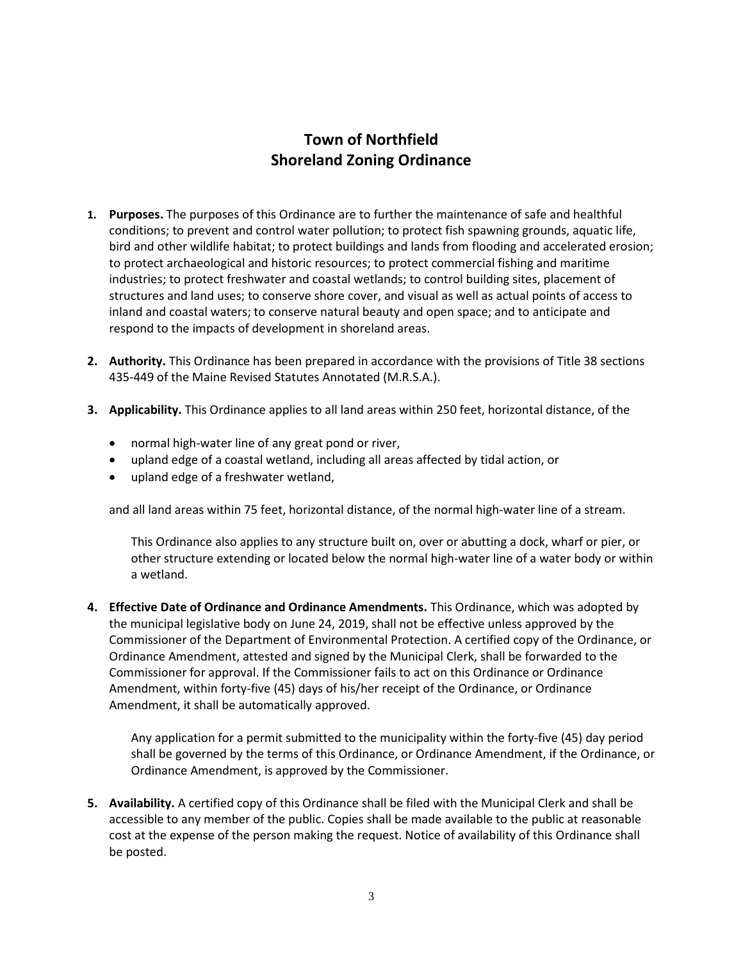# **Town of Northfield Shoreland Zoning Ordinance**

- **1. Purposes.** The purposes of this Ordinance are to further the maintenance of safe and healthful conditions; to prevent and control water pollution; to protect fish spawning grounds, aquatic life, bird and other wildlife habitat; to protect buildings and lands from flooding and accelerated erosion; to protect archaeological and historic resources; to protect commercial fishing and maritime industries; to protect freshwater and coastal wetlands; to control building sites, placement of structures and land uses; to conserve shore cover, and visual as well as actual points of access to inland and coastal waters; to conserve natural beauty and open space; and to anticipate and respond to the impacts of development in shoreland areas.
- **2. Authority.** This Ordinance has been prepared in accordance with the provisions of Title 38 sections 435-449 of the Maine Revised Statutes Annotated (M.R.S.A.).
- **3. Applicability.** This Ordinance applies to all land areas within 250 feet, horizontal distance, of the
	- normal high-water line of any great pond or river,
	- upland edge of a coastal wetland, including all areas affected by tidal action, or
	- upland edge of a freshwater wetland,

and all land areas within 75 feet, horizontal distance, of the normal high-water line of a stream.

This Ordinance also applies to any structure built on, over or abutting a dock, wharf or pier, or other structure extending or located below the normal high-water line of a water body or within a wetland.

**4. Effective Date of Ordinance and Ordinance Amendments.** This Ordinance, which was adopted by the municipal legislative body on June 24, 2019, shall not be effective unless approved by the Commissioner of the Department of Environmental Protection. A certified copy of the Ordinance, or Ordinance Amendment, attested and signed by the Municipal Clerk, shall be forwarded to the Commissioner for approval. If the Commissioner fails to act on this Ordinance or Ordinance Amendment, within forty-five (45) days of his/her receipt of the Ordinance, or Ordinance Amendment, it shall be automatically approved.

Any application for a permit submitted to the municipality within the forty-five (45) day period shall be governed by the terms of this Ordinance, or Ordinance Amendment, if the Ordinance, or Ordinance Amendment, is approved by the Commissioner.

**5. Availability.** A certified copy of this Ordinance shall be filed with the Municipal Clerk and shall be accessible to any member of the public. Copies shall be made available to the public at reasonable cost at the expense of the person making the request. Notice of availability of this Ordinance shall be posted.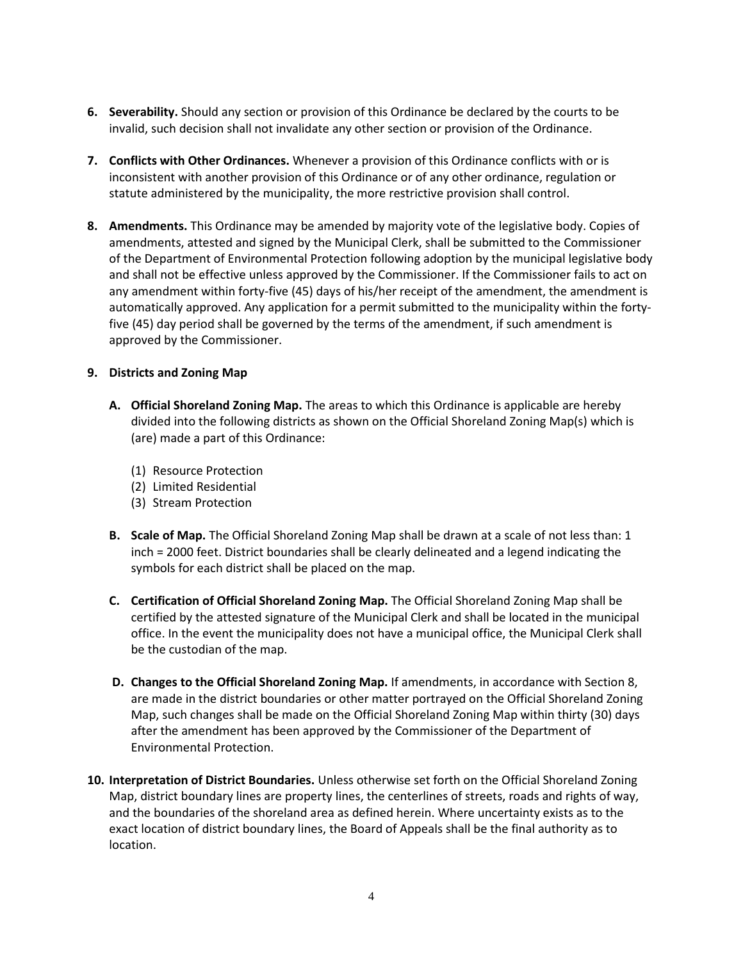- **6. Severability.** Should any section or provision of this Ordinance be declared by the courts to be invalid, such decision shall not invalidate any other section or provision of the Ordinance.
- **7. Conflicts with Other Ordinances.** Whenever a provision of this Ordinance conflicts with or is inconsistent with another provision of this Ordinance or of any other ordinance, regulation or statute administered by the municipality, the more restrictive provision shall control.
- **8. Amendments.** This Ordinance may be amended by majority vote of the legislative body. Copies of amendments, attested and signed by the Municipal Clerk, shall be submitted to the Commissioner of the Department of Environmental Protection following adoption by the municipal legislative body and shall not be effective unless approved by the Commissioner. If the Commissioner fails to act on any amendment within forty-five (45) days of his/her receipt of the amendment, the amendment is automatically approved. Any application for a permit submitted to the municipality within the fortyfive (45) day period shall be governed by the terms of the amendment, if such amendment is approved by the Commissioner.

## **9. Districts and Zoning Map**

- **A. Official Shoreland Zoning Map.** The areas to which this Ordinance is applicable are hereby divided into the following districts as shown on the Official Shoreland Zoning Map(s) which is (are) made a part of this Ordinance:
	- (1) Resource Protection
	- (2) Limited Residential
	- (3) Stream Protection
- **B. Scale of Map.** The Official Shoreland Zoning Map shall be drawn at a scale of not less than: 1 inch = 2000 feet. District boundaries shall be clearly delineated and a legend indicating the symbols for each district shall be placed on the map.
- **C. Certification of Official Shoreland Zoning Map.** The Official Shoreland Zoning Map shall be certified by the attested signature of the Municipal Clerk and shall be located in the municipal office. In the event the municipality does not have a municipal office, the Municipal Clerk shall be the custodian of the map.
- **D. Changes to the Official Shoreland Zoning Map.** If amendments, in accordance with Section 8, are made in the district boundaries or other matter portrayed on the Official Shoreland Zoning Map, such changes shall be made on the Official Shoreland Zoning Map within thirty (30) days after the amendment has been approved by the Commissioner of the Department of Environmental Protection.
- **10. Interpretation of District Boundaries.** Unless otherwise set forth on the Official Shoreland Zoning Map, district boundary lines are property lines, the centerlines of streets, roads and rights of way, and the boundaries of the shoreland area as defined herein. Where uncertainty exists as to the exact location of district boundary lines, the Board of Appeals shall be the final authority as to location.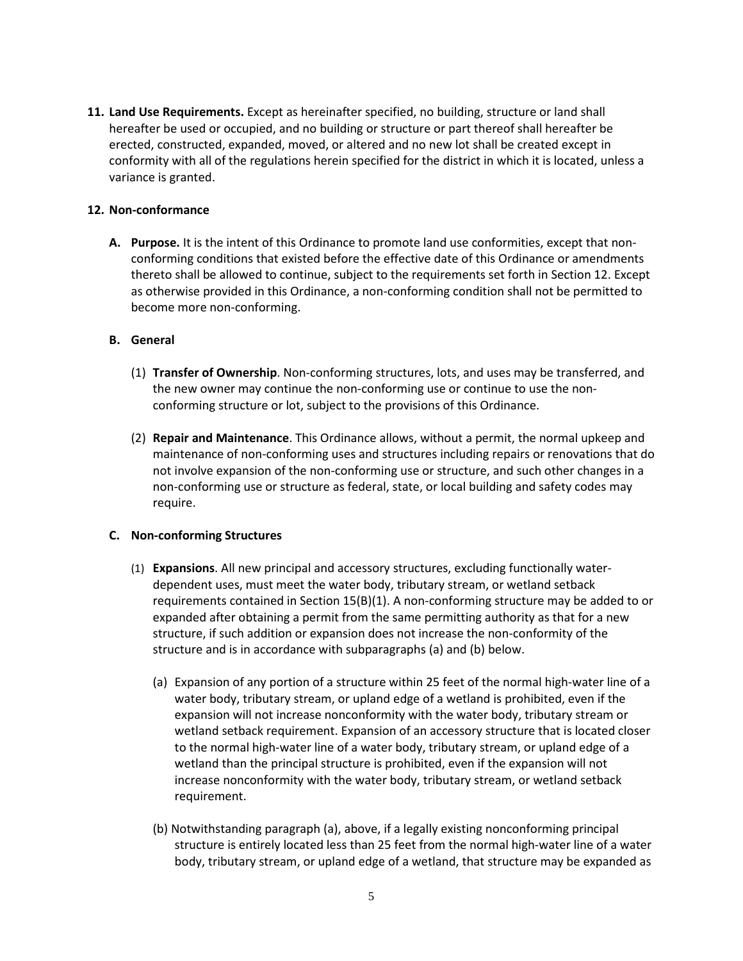**11. Land Use Requirements.** Except as hereinafter specified, no building, structure or land shall hereafter be used or occupied, and no building or structure or part thereof shall hereafter be erected, constructed, expanded, moved, or altered and no new lot shall be created except in conformity with all of the regulations herein specified for the district in which it is located, unless a variance is granted.

## **12. Non-conformance**

**A. Purpose.** It is the intent of this Ordinance to promote land use conformities, except that nonconforming conditions that existed before the effective date of this Ordinance or amendments thereto shall be allowed to continue, subject to the requirements set forth in Section 12. Except as otherwise provided in this Ordinance, a non-conforming condition shall not be permitted to become more non-conforming.

#### **B. General**

- (1) **Transfer of Ownership**. Non-conforming structures, lots, and uses may be transferred, and the new owner may continue the non-conforming use or continue to use the nonconforming structure or lot, subject to the provisions of this Ordinance.
- (2) **Repair and Maintenance**. This Ordinance allows, without a permit, the normal upkeep and maintenance of non-conforming uses and structures including repairs or renovations that do not involve expansion of the non-conforming use or structure, and such other changes in a non-conforming use or structure as federal, state, or local building and safety codes may require.

#### **C. Non-conforming Structures**

- (1) **Expansions**. All new principal and accessory structures, excluding functionally waterdependent uses, must meet the water body, tributary stream, or wetland setback requirements contained in Section 15(B)(1). A non-conforming structure may be added to or expanded after obtaining a permit from the same permitting authority as that for a new structure, if such addition or expansion does not increase the non-conformity of the structure and is in accordance with subparagraphs (a) and (b) below.
	- (a) Expansion of any portion of a structure within 25 feet of the normal high-water line of a water body, tributary stream, or upland edge of a wetland is prohibited, even if the expansion will not increase nonconformity with the water body, tributary stream or wetland setback requirement. Expansion of an accessory structure that is located closer to the normal high-water line of a water body, tributary stream, or upland edge of a wetland than the principal structure is prohibited, even if the expansion will not increase nonconformity with the water body, tributary stream, or wetland setback requirement.
	- (b) Notwithstanding paragraph (a), above, if a legally existing nonconforming principal structure is entirely located less than 25 feet from the normal high-water line of a water body, tributary stream, or upland edge of a wetland, that structure may be expanded as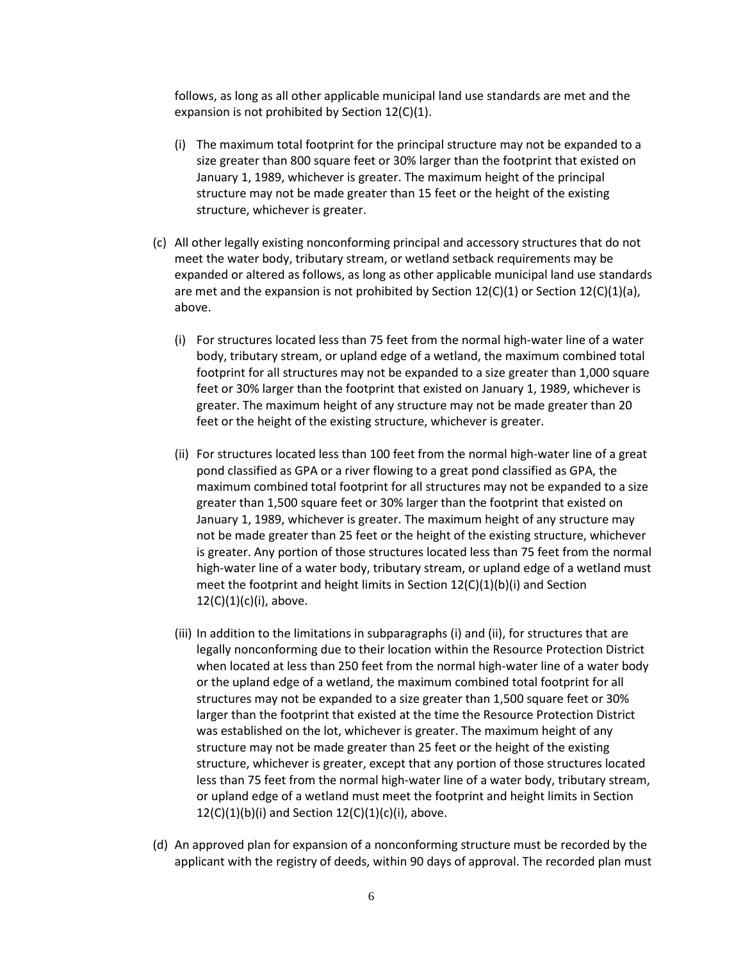follows, as long as all other applicable municipal land use standards are met and the expansion is not prohibited by Section 12(C)(1).

- (i) The maximum total footprint for the principal structure may not be expanded to a size greater than 800 square feet or 30% larger than the footprint that existed on January 1, 1989, whichever is greater. The maximum height of the principal structure may not be made greater than 15 feet or the height of the existing structure, whichever is greater.
- (c) All other legally existing nonconforming principal and accessory structures that do not meet the water body, tributary stream, or wetland setback requirements may be expanded or altered as follows, as long as other applicable municipal land use standards are met and the expansion is not prohibited by Section  $12(C)(1)$  or Section  $12(C)(1)(a)$ , above.
	- (i) For structures located less than 75 feet from the normal high-water line of a water body, tributary stream, or upland edge of a wetland, the maximum combined total footprint for all structures may not be expanded to a size greater than 1,000 square feet or 30% larger than the footprint that existed on January 1, 1989, whichever is greater. The maximum height of any structure may not be made greater than 20 feet or the height of the existing structure, whichever is greater.
	- (ii) For structures located less than 100 feet from the normal high-water line of a great pond classified as GPA or a river flowing to a great pond classified as GPA, the maximum combined total footprint for all structures may not be expanded to a size greater than 1,500 square feet or 30% larger than the footprint that existed on January 1, 1989, whichever is greater. The maximum height of any structure may not be made greater than 25 feet or the height of the existing structure, whichever is greater. Any portion of those structures located less than 75 feet from the normal high-water line of a water body, tributary stream, or upland edge of a wetland must meet the footprint and height limits in Section 12(C)(1)(b)(i) and Section  $12(C)(1)(c)(i)$ , above.
	- (iii) In addition to the limitations in subparagraphs (i) and (ii), for structures that are legally nonconforming due to their location within the Resource Protection District when located at less than 250 feet from the normal high-water line of a water body or the upland edge of a wetland, the maximum combined total footprint for all structures may not be expanded to a size greater than 1,500 square feet or 30% larger than the footprint that existed at the time the Resource Protection District was established on the lot, whichever is greater. The maximum height of any structure may not be made greater than 25 feet or the height of the existing structure, whichever is greater, except that any portion of those structures located less than 75 feet from the normal high-water line of a water body, tributary stream, or upland edge of a wetland must meet the footprint and height limits in Section  $12(C)(1)(b)(i)$  and Section  $12(C)(1)(c)(i)$ , above.
- (d) An approved plan for expansion of a nonconforming structure must be recorded by the applicant with the registry of deeds, within 90 days of approval. The recorded plan must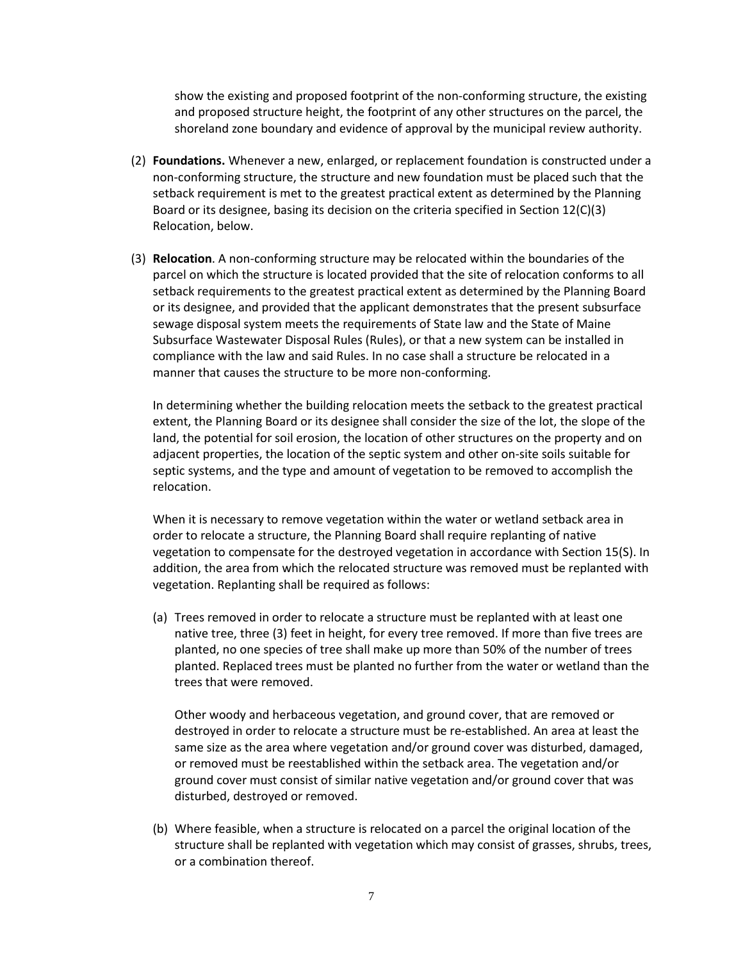show the existing and proposed footprint of the non-conforming structure, the existing and proposed structure height, the footprint of any other structures on the parcel, the shoreland zone boundary and evidence of approval by the municipal review authority.

- (2) **Foundations.** Whenever a new, enlarged, or replacement foundation is constructed under a non-conforming structure, the structure and new foundation must be placed such that the setback requirement is met to the greatest practical extent as determined by the Planning Board or its designee, basing its decision on the criteria specified in Section 12(C)(3) Relocation, below.
- (3) **Relocation**. A non-conforming structure may be relocated within the boundaries of the parcel on which the structure is located provided that the site of relocation conforms to all setback requirements to the greatest practical extent as determined by the Planning Board or its designee, and provided that the applicant demonstrates that the present subsurface sewage disposal system meets the requirements of State law and the State of Maine Subsurface Wastewater Disposal Rules (Rules), or that a new system can be installed in compliance with the law and said Rules. In no case shall a structure be relocated in a manner that causes the structure to be more non-conforming.

In determining whether the building relocation meets the setback to the greatest practical extent, the Planning Board or its designee shall consider the size of the lot, the slope of the land, the potential for soil erosion, the location of other structures on the property and on adjacent properties, the location of the septic system and other on-site soils suitable for septic systems, and the type and amount of vegetation to be removed to accomplish the relocation.

When it is necessary to remove vegetation within the water or wetland setback area in order to relocate a structure, the Planning Board shall require replanting of native vegetation to compensate for the destroyed vegetation in accordance with Section 15(S). In addition, the area from which the relocated structure was removed must be replanted with vegetation. Replanting shall be required as follows:

(a) Trees removed in order to relocate a structure must be replanted with at least one native tree, three (3) feet in height, for every tree removed. If more than five trees are planted, no one species of tree shall make up more than 50% of the number of trees planted. Replaced trees must be planted no further from the water or wetland than the trees that were removed.

Other woody and herbaceous vegetation, and ground cover, that are removed or destroyed in order to relocate a structure must be re-established. An area at least the same size as the area where vegetation and/or ground cover was disturbed, damaged, or removed must be reestablished within the setback area. The vegetation and/or ground cover must consist of similar native vegetation and/or ground cover that was disturbed, destroyed or removed.

(b) Where feasible, when a structure is relocated on a parcel the original location of the structure shall be replanted with vegetation which may consist of grasses, shrubs, trees, or a combination thereof.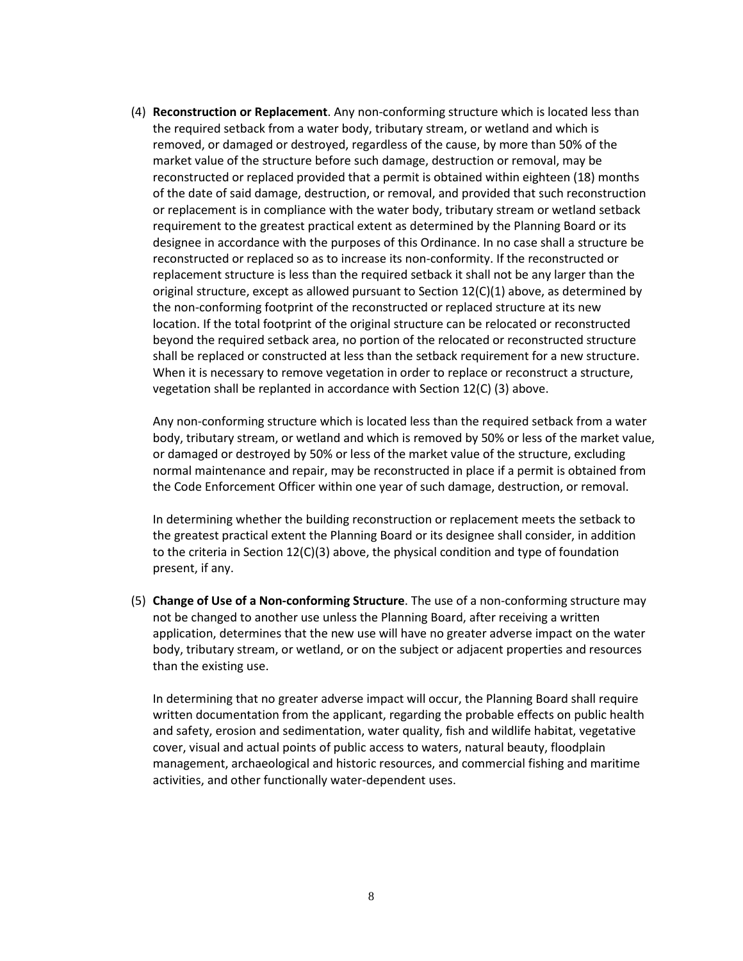(4) **Reconstruction or Replacement**. Any non-conforming structure which is located less than the required setback from a water body, tributary stream, or wetland and which is removed, or damaged or destroyed, regardless of the cause, by more than 50% of the market value of the structure before such damage, destruction or removal, may be reconstructed or replaced provided that a permit is obtained within eighteen (18) months of the date of said damage, destruction, or removal, and provided that such reconstruction or replacement is in compliance with the water body, tributary stream or wetland setback requirement to the greatest practical extent as determined by the Planning Board or its designee in accordance with the purposes of this Ordinance. In no case shall a structure be reconstructed or replaced so as to increase its non-conformity. If the reconstructed or replacement structure is less than the required setback it shall not be any larger than the original structure, except as allowed pursuant to Section  $12(C)(1)$  above, as determined by the non-conforming footprint of the reconstructed or replaced structure at its new location. If the total footprint of the original structure can be relocated or reconstructed beyond the required setback area, no portion of the relocated or reconstructed structure shall be replaced or constructed at less than the setback requirement for a new structure. When it is necessary to remove vegetation in order to replace or reconstruct a structure, vegetation shall be replanted in accordance with Section 12(C) (3) above.

Any non-conforming structure which is located less than the required setback from a water body, tributary stream, or wetland and which is removed by 50% or less of the market value, or damaged or destroyed by 50% or less of the market value of the structure, excluding normal maintenance and repair, may be reconstructed in place if a permit is obtained from the Code Enforcement Officer within one year of such damage, destruction, or removal.

In determining whether the building reconstruction or replacement meets the setback to the greatest practical extent the Planning Board or its designee shall consider, in addition to the criteria in Section 12(C)(3) above, the physical condition and type of foundation present, if any.

(5) **Change of Use of a Non-conforming Structure**. The use of a non-conforming structure may not be changed to another use unless the Planning Board, after receiving a written application, determines that the new use will have no greater adverse impact on the water body, tributary stream, or wetland, or on the subject or adjacent properties and resources than the existing use.

In determining that no greater adverse impact will occur, the Planning Board shall require written documentation from the applicant, regarding the probable effects on public health and safety, erosion and sedimentation, water quality, fish and wildlife habitat, vegetative cover, visual and actual points of public access to waters, natural beauty, floodplain management, archaeological and historic resources, and commercial fishing and maritime activities, and other functionally water-dependent uses.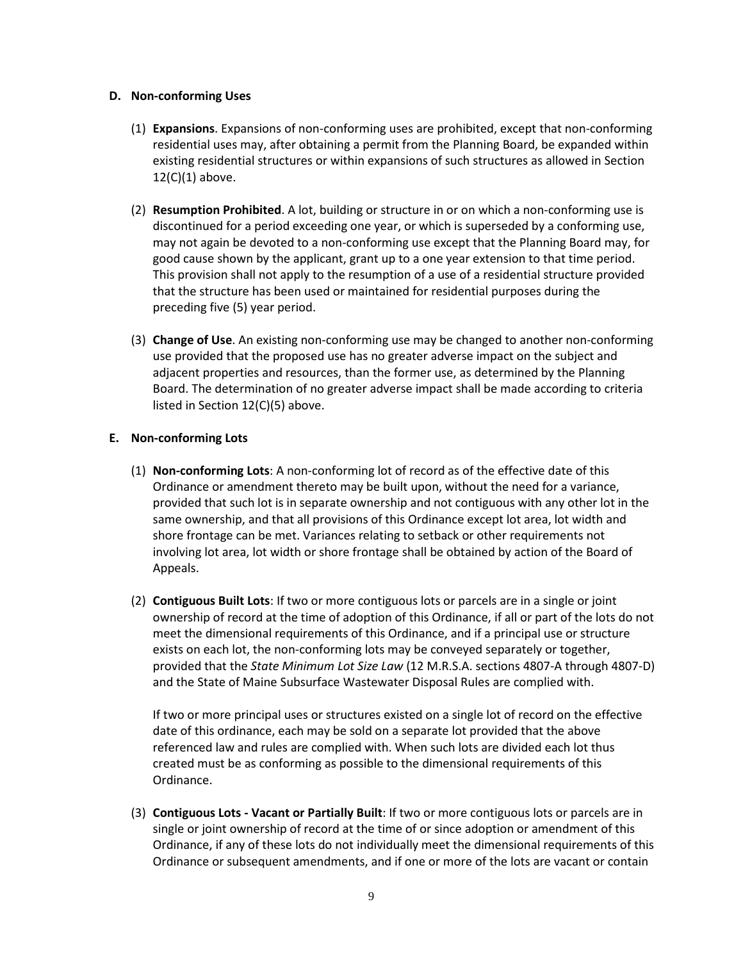### **D. Non-conforming Uses**

- (1) **Expansions**. Expansions of non-conforming uses are prohibited, except that non-conforming residential uses may, after obtaining a permit from the Planning Board, be expanded within existing residential structures or within expansions of such structures as allowed in Section  $12(C)(1)$  above.
- (2) **Resumption Prohibited**. A lot, building or structure in or on which a non-conforming use is discontinued for a period exceeding one year, or which is superseded by a conforming use, may not again be devoted to a non-conforming use except that the Planning Board may, for good cause shown by the applicant, grant up to a one year extension to that time period. This provision shall not apply to the resumption of a use of a residential structure provided that the structure has been used or maintained for residential purposes during the preceding five (5) year period.
- (3) **Change of Use**. An existing non-conforming use may be changed to another non-conforming use provided that the proposed use has no greater adverse impact on the subject and adjacent properties and resources, than the former use, as determined by the Planning Board. The determination of no greater adverse impact shall be made according to criteria listed in Section 12(C)(5) above.

## **E. Non-conforming Lots**

- (1) **Non-conforming Lots**: A non-conforming lot of record as of the effective date of this Ordinance or amendment thereto may be built upon, without the need for a variance, provided that such lot is in separate ownership and not contiguous with any other lot in the same ownership, and that all provisions of this Ordinance except lot area, lot width and shore frontage can be met. Variances relating to setback or other requirements not involving lot area, lot width or shore frontage shall be obtained by action of the Board of Appeals.
- (2) **Contiguous Built Lots**: If two or more contiguous lots or parcels are in a single or joint ownership of record at the time of adoption of this Ordinance, if all or part of the lots do not meet the dimensional requirements of this Ordinance, and if a principal use or structure exists on each lot, the non-conforming lots may be conveyed separately or together, provided that the *State Minimum Lot Size Law* (12 M.R.S.A. sections 4807-A through 4807-D) and the State of Maine Subsurface Wastewater Disposal Rules are complied with.

 If two or more principal uses or structures existed on a single lot of record on the effective date of this ordinance, each may be sold on a separate lot provided that the above referenced law and rules are complied with. When such lots are divided each lot thus created must be as conforming as possible to the dimensional requirements of this Ordinance.

(3) **Contiguous Lots - Vacant or Partially Built**: If two or more contiguous lots or parcels are in single or joint ownership of record at the time of or since adoption or amendment of this Ordinance, if any of these lots do not individually meet the dimensional requirements of this Ordinance or subsequent amendments, and if one or more of the lots are vacant or contain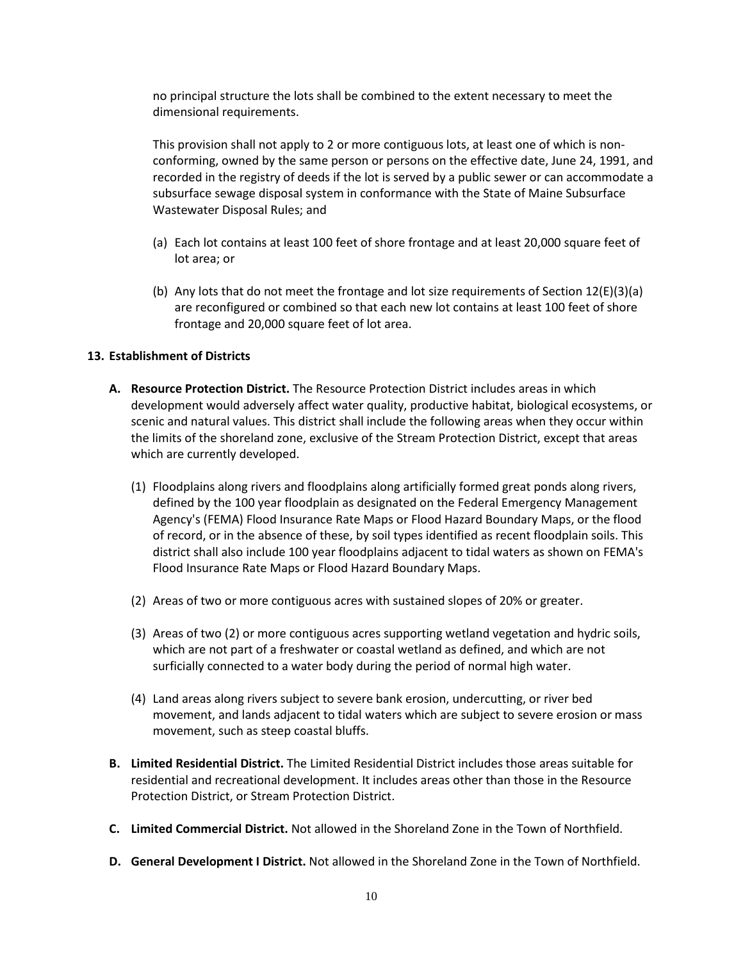no principal structure the lots shall be combined to the extent necessary to meet the dimensional requirements.

 This provision shall not apply to 2 or more contiguous lots, at least one of which is nonconforming, owned by the same person or persons on the effective date, June 24, 1991, and recorded in the registry of deeds if the lot is served by a public sewer or can accommodate a subsurface sewage disposal system in conformance with the State of Maine Subsurface Wastewater Disposal Rules; and

- (a) Each lot contains at least 100 feet of shore frontage and at least 20,000 square feet of lot area; or
- (b) Any lots that do not meet the frontage and lot size requirements of Section  $12(E)(3)(a)$ are reconfigured or combined so that each new lot contains at least 100 feet of shore frontage and 20,000 square feet of lot area.

## **13. Establishment of Districts**

- **A. Resource Protection District.** The Resource Protection District includes areas in which development would adversely affect water quality, productive habitat, biological ecosystems, or scenic and natural values. This district shall include the following areas when they occur within the limits of the shoreland zone, exclusive of the Stream Protection District, except that areas which are currently developed.
	- (1) Floodplains along rivers and floodplains along artificially formed great ponds along rivers, defined by the 100 year floodplain as designated on the Federal Emergency Management Agency's (FEMA) Flood Insurance Rate Maps or Flood Hazard Boundary Maps, or the flood of record, or in the absence of these, by soil types identified as recent floodplain soils. This district shall also include 100 year floodplains adjacent to tidal waters as shown on FEMA's Flood Insurance Rate Maps or Flood Hazard Boundary Maps.
	- (2) Areas of two or more contiguous acres with sustained slopes of 20% or greater.
	- (3) Areas of two (2) or more contiguous acres supporting wetland vegetation and hydric soils, which are not part of a freshwater or coastal wetland as defined, and which are not surficially connected to a water body during the period of normal high water.
	- (4) Land areas along rivers subject to severe bank erosion, undercutting, or river bed movement, and lands adjacent to tidal waters which are subject to severe erosion or mass movement, such as steep coastal bluffs.
- **B. Limited Residential District.** The Limited Residential District includes those areas suitable for residential and recreational development. It includes areas other than those in the Resource Protection District, or Stream Protection District.
- **C. Limited Commercial District.** Not allowed in the Shoreland Zone in the Town of Northfield.
- **D. General Development I District.** Not allowed in the Shoreland Zone in the Town of Northfield.